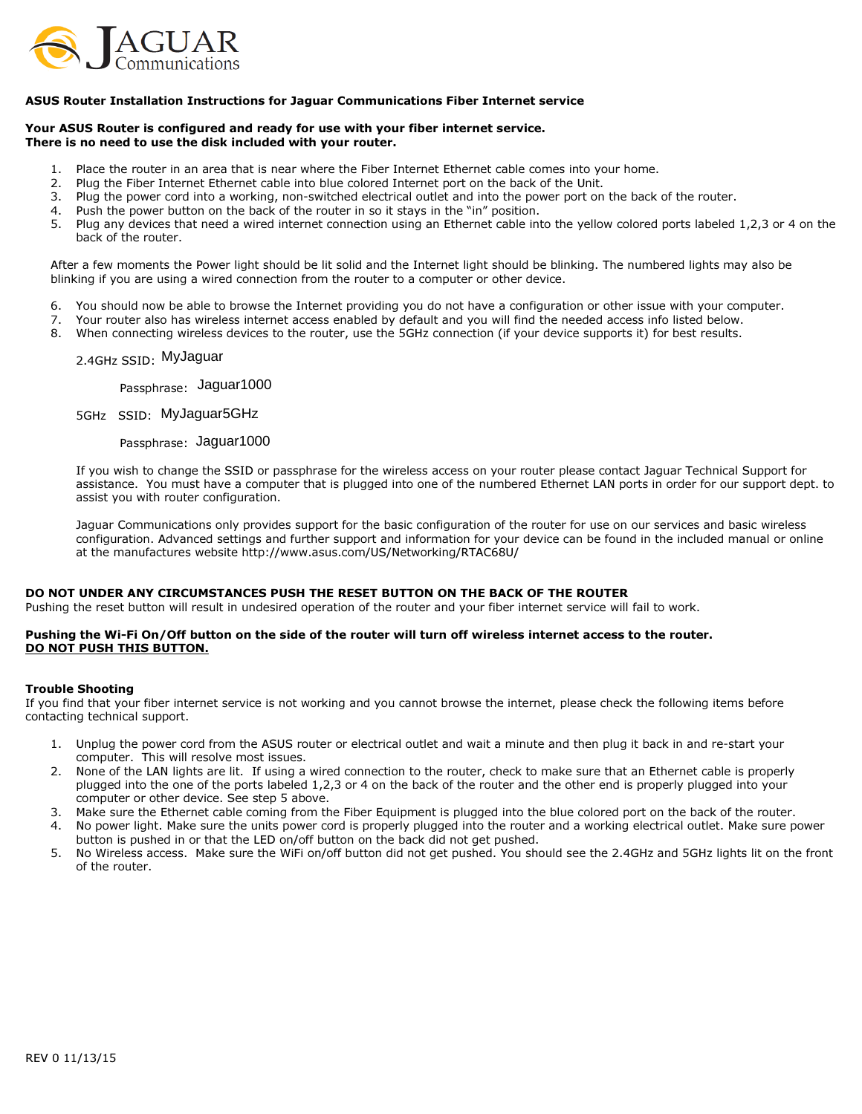

## ASUS Router Installation Instructions for Jaguar Communications Fiber Internet service

### Your ASUS Router is configured and ready for use with your fiber internet service. There is no need to use the disk included with your router.

- 1. Place the router in an area that is near where the Fiber Internet Ethernet cable comes into your home.
- 2. Plug the Fiber Internet Ethernet cable into blue colored Internet port on the back of the Unit.
- 3. Plug the power cord into a working, non-switched electrical outlet and into the power port on the back of the router.
- 4. Push the power button on the back of the router in so it stays in the "in" position.
- 5. Plug any devices that need a wired internet connection using an Ethernet cable into the yellow colored ports labeled 1,2,3 or 4 on the back of the router.

After a few moments the Power light should be lit solid and the Internet light should be blinking. The numbered lights may also be blinking if you are using a wired connection from the router to a computer or other device.

- 6. You should now be able to browse the Internet providing you do not have a configuration or other issue with your computer.
- 7. Your router also has wireless internet access enabled by default and you will find the needed access info listed below.
- 8. When connecting wireless devices to the router, use the 5GHz connection (if your device supports it) for best results.

# 2.4GHz SSID: MyJaguar

Passphrase: Jaguar1000

5GHz SSID: MyJaguar5GHz

Passphrase: Jaguar1000

If you wish to change the SSID or passphrase for the wireless access on your router please contact Jaguar Technical Support for assistance. You must have a computer that is plugged into one of the numbered Ethernet LAN ports in order for our support dept. to assist you with router configuration.

Jaguar Communications only provides support for the basic configuration of the router for use on our services and basic wireless configuration. Advanced settings and further support and information for your device can be found in the included manual or online at the manufactures website http://www.asus.com/US/Networking/RTAC68U/

#### DO NOT UNDER ANY CIRCUMSTANCES PUSH THE RESET BUTTON ON THE BACK OF THE ROUTER

Pushing the reset button will result in undesired operation of the router and your fiber internet service will fail to work.

## Pushing the Wi-Fi On/Off button on the side of the router will turn off wireless internet access to the router. DO NOT PUSH THIS BUTTON.

#### Trouble Shooting

If you find that your fiber internet service is not working and you cannot browse the internet, please check the following items before contacting technical support.

- 1. Unplug the power cord from the ASUS router or electrical outlet and wait a minute and then plug it back in and re-start your computer. This will resolve most issues.
- 2. None of the LAN lights are lit. If using a wired connection to the router, check to make sure that an Ethernet cable is properly plugged into the one of the ports labeled 1,2,3 or 4 on the back of the router and the other end is properly plugged into your computer or other device. See step 5 above.
- 3. Make sure the Ethernet cable coming from the Fiber Equipment is plugged into the blue colored port on the back of the router.
- 4. No power light. Make sure the units power cord is properly plugged into the router and a working electrical outlet. Make sure power button is pushed in or that the LED on/off button on the back did not get pushed.
- 5. No Wireless access. Make sure the WiFi on/off button did not get pushed. You should see the 2.4GHz and 5GHz lights lit on the front of the router.